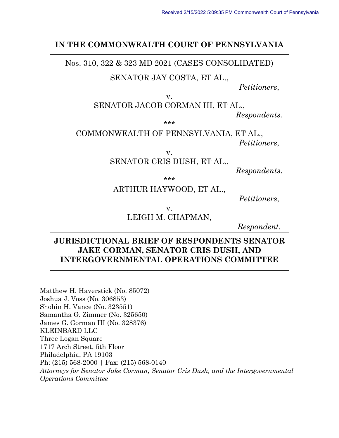#### **IN THE COMMONWEALTH COURT OF PENNSYLVANIA**

Nos. 310, 322 & 323 MD 2021 (CASES CONSOLIDATED)

SENATOR JAY COSTA, ET AL.,

*Petitioners*,

v.

SENATOR JACOB CORMAN III, ET AL.,

*Respondents.*

\*\*\*

COMMONWEALTH OF PENNSYLVANIA, ET AL., *Petitioners*,

v.

SENATOR CRIS DUSH, ET AL.,

*Respondents*.

\*\*\*

#### ARTHUR HAYWOOD, ET AL.,

*Petitioners*,

v.

LEIGH M. CHAPMAN,

*Respondent*.

### **JURISDICTIONAL BRIEF OF RESPONDENTS SENATOR JAKE CORMAN, SENATOR CRIS DUSH, AND INTERGOVERNMENTAL OPERATIONS COMMITTEE**

Matthew H. Haverstick (No. 85072) Joshua J. Voss (No. 306853) Shohin H. Vance (No. 323551) Samantha G. Zimmer (No. 325650) James G. Gorman III (No. 328376) KLEINBARD LLC Three Logan Square 1717 Arch Street, 5th Floor Philadelphia, PA 19103 Ph: (215) 568-2000 | Fax: (215) 568-0140 *Attorneys for Senator Jake Corman, Senator Cris Dush, and the Intergovernmental Operations Committee*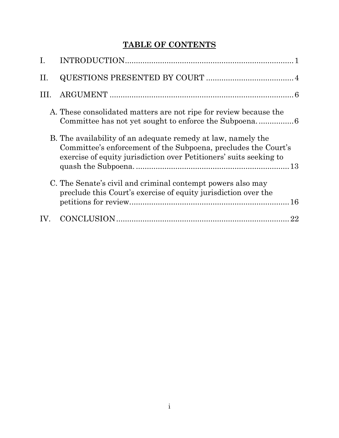# **TABLE OF CONTENTS**

| I.  |                                                                                                                                                                                                      |
|-----|------------------------------------------------------------------------------------------------------------------------------------------------------------------------------------------------------|
| II. |                                                                                                                                                                                                      |
| HL. |                                                                                                                                                                                                      |
|     | A. These consolidated matters are not ripe for review because the                                                                                                                                    |
|     | B. The availability of an adequate remedy at law, namely the<br>Committee's enforcement of the Subpoena, precludes the Court's<br>exercise of equity jurisdiction over Petitioners' suits seeking to |
|     | C. The Senate's civil and criminal contempt powers also may<br>preclude this Court's exercise of equity jurisdiction over the                                                                        |
| IV. | 22                                                                                                                                                                                                   |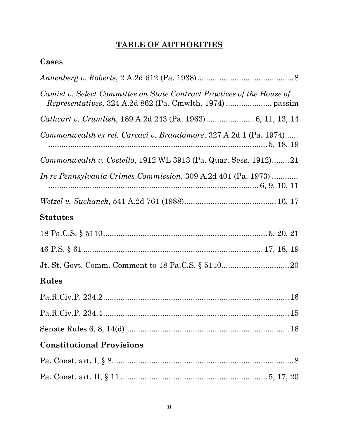# **TABLE OF AUTHORITIES**

# **Cases**

| Camiel v. Select Committee on State Contract Practices of the House of |
|------------------------------------------------------------------------|
|                                                                        |
| Commonwealth ex rel. Carcaci v. Brandamore, 327 A.2d 1 (Pa. 1974)      |
| Commonwealth v. Costello, 1912 WL 3913 (Pa. Quar. Sess. 1912)21        |
| <i>In re Pennsylvania Crimes Commission</i> , 309 A.2d 401 (Pa. 1973)  |
|                                                                        |
| <b>Statutes</b>                                                        |
|                                                                        |
|                                                                        |
|                                                                        |
| Rules                                                                  |
|                                                                        |
|                                                                        |
|                                                                        |
| <b>Constitutional Provisions</b>                                       |
|                                                                        |
|                                                                        |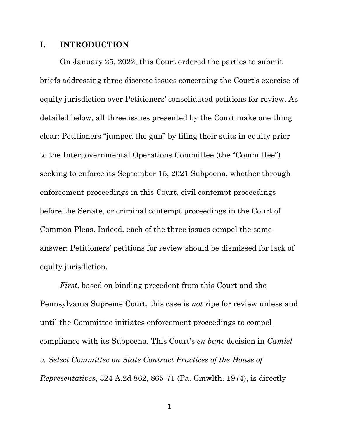#### <span id="page-3-0"></span>**I. INTRODUCTION**

On January 25, 2022, this Court ordered the parties to submit briefs addressing three discrete issues concerning the Court's exercise of equity jurisdiction over Petitioners' consolidated petitions for review. As detailed below, all three issues presented by the Court make one thing clear: Petitioners "jumped the gun" by filing their suits in equity prior to the Intergovernmental Operations Committee (the "Committee") seeking to enforce its September 15, 2021 Subpoena, whether through enforcement proceedings in this Court, civil contempt proceedings before the Senate, or criminal contempt proceedings in the Court of Common Pleas. Indeed, each of the three issues compel the same answer: Petitioners' petitions for review should be dismissed for lack of equity jurisdiction.

*First*, based on binding precedent from this Court and the Pennsylvania Supreme Court, this case is *not* ripe for review unless and until the Committee initiates enforcement proceedings to compel compliance with its Subpoena. This Court's *en banc* decision in *Camiel v. Select Committee on State Contract Practices of the House of Representatives*, 324 A.2d 862, 865-71 (Pa. Cmwlth. 1974), is directly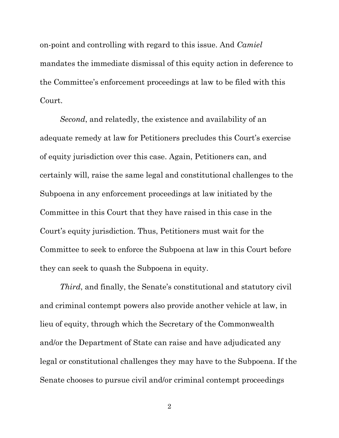on-point and controlling with regard to this issue. And *Camiel* mandates the immediate dismissal of this equity action in deference to the Committee's enforcement proceedings at law to be filed with this Court.

*Second*, and relatedly, the existence and availability of an adequate remedy at law for Petitioners precludes this Court's exercise of equity jurisdiction over this case. Again, Petitioners can, and certainly will, raise the same legal and constitutional challenges to the Subpoena in any enforcement proceedings at law initiated by the Committee in this Court that they have raised in this case in the Court's equity jurisdiction. Thus, Petitioners must wait for the Committee to seek to enforce the Subpoena at law in this Court before they can seek to quash the Subpoena in equity.

*Third*, and finally, the Senate's constitutional and statutory civil and criminal contempt powers also provide another vehicle at law, in lieu of equity, through which the Secretary of the Commonwealth and/or the Department of State can raise and have adjudicated any legal or constitutional challenges they may have to the Subpoena. If the Senate chooses to pursue civil and/or criminal contempt proceedings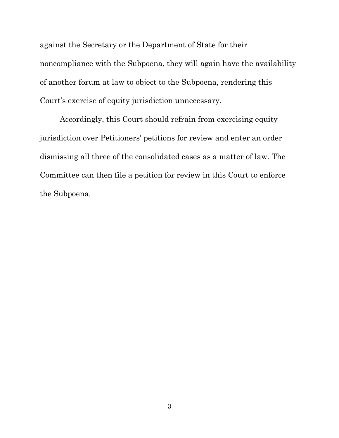against the Secretary or the Department of State for their noncompliance with the Subpoena, they will again have the availability of another forum at law to object to the Subpoena, rendering this Court's exercise of equity jurisdiction unnecessary.

Accordingly, this Court should refrain from exercising equity jurisdiction over Petitioners' petitions for review and enter an order dismissing all three of the consolidated cases as a matter of law. The Committee can then file a petition for review in this Court to enforce the Subpoena.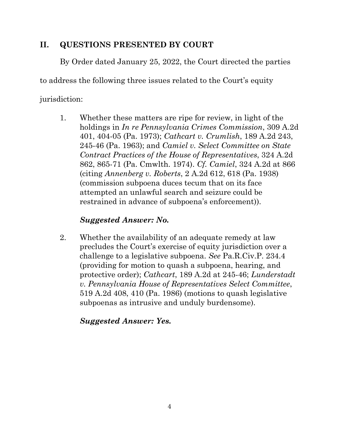### <span id="page-6-0"></span>**II. QUESTIONS PRESENTED BY COURT**

By Order dated January 25, 2022, the Court directed the parties

to address the following three issues related to the Court's equity

jurisdiction:

1. Whether these matters are ripe for review, in light of the holdings in *In re Pennsylvania Crimes Commission*, 309 A.2d 401, 404-05 (Pa. 1973); *Cathcart v. Crumlish*, 189 A.2d 243, 245-46 (Pa. 1963); and *Camiel v. Select Committee on State Contract Practices of the House of Representatives*, 324 A.2d 862, 865-71 (Pa. Cmwlth. 1974). *Cf. Camiel*, 324 A.2d at 866 (citing *Annenberg v. Roberts*, 2 A.2d 612, 618 (Pa. 1938) (commission subpoena duces tecum that on its face attempted an unlawful search and seizure could be restrained in advance of subpoena's enforcement)).

## *Suggested Answer: No.*

2. Whether the availability of an adequate remedy at law precludes the Court's exercise of equity jurisdiction over a challenge to a legislative subpoena. *See* Pa.R.Civ.P. 234.4 (providing for motion to quash a subpoena, hearing, and protective order); *Cathcart*, 189 A.2d at 245-46; *Lunderstadt v. Pennsylvania House of Representatives Select Committee*, 519 A.2d 408, 410 (Pa. 1986) (motions to quash legislative subpoenas as intrusive and unduly burdensome).

## *Suggested Answer: Yes.*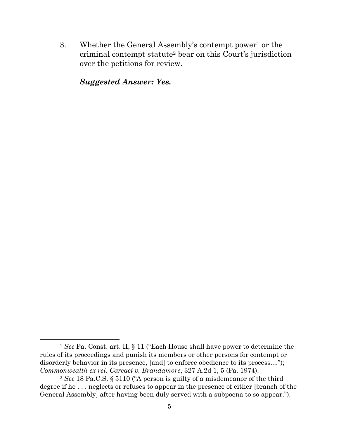3. Whether the General Assembly's contempt power<sup>1</sup> or the criminal contempt statute<sup>2</sup> bear on this Court's jurisdiction over the petitions for review.

*Suggested Answer: Yes.*

 $\overline{a}$ <sup>1</sup> *See* Pa. Const. art. II, § 11 ("Each House shall have power to determine the rules of its proceedings and punish its members or other persons for contempt or disorderly behavior in its presence, [and] to enforce obedience to its process...."); *Commonwealth ex rel. Carcaci v. Brandamore*, 327 A.2d 1, 5 (Pa. 1974).

<sup>2</sup> *See* 18 Pa.C.S. § 5110 ("A person is guilty of a misdemeanor of the third degree if he . . . neglects or refuses to appear in the presence of either [branch of the General Assembly] after having been duly served with a subpoena to so appear.").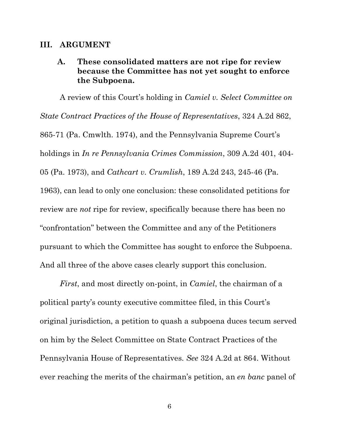#### <span id="page-8-1"></span><span id="page-8-0"></span>**III. ARGUMENT**

### **A. These consolidated matters are not ripe for review because the Committee has not yet sought to enforce the Subpoena.**

A review of this Court's holding in *Camiel v. Select Committee on State Contract Practices of the House of Representatives*, 324 A.2d 862, 865-71 (Pa. Cmwlth. 1974), and the Pennsylvania Supreme Court's holdings in *In re Pennsylvania Crimes Commission*, 309 A.2d 401, 404- 05 (Pa. 1973), and *Cathcart v. Crumlish*, 189 A.2d 243, 245-46 (Pa. 1963), can lead to only one conclusion: these consolidated petitions for review are *not* ripe for review, specifically because there has been no "confrontation" between the Committee and any of the Petitioners pursuant to which the Committee has sought to enforce the Subpoena. And all three of the above cases clearly support this conclusion.

*First*, and most directly on-point, in *Camiel*, the chairman of a political party's county executive committee filed, in this Court's original jurisdiction, a petition to quash a subpoena duces tecum served on him by the Select Committee on State Contract Practices of the Pennsylvania House of Representatives. *See* 324 A.2d at 864. Without ever reaching the merits of the chairman's petition, an *en banc* panel of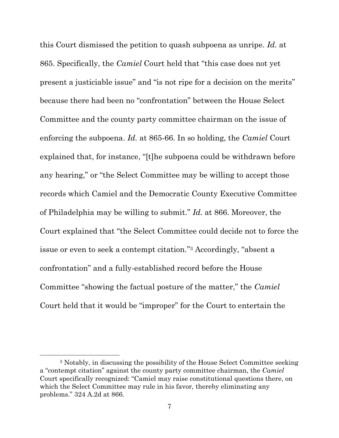this Court dismissed the petition to quash subpoena as unripe. *Id.* at 865. Specifically, the *Camiel* Court held that "this case does not yet present a justiciable issue" and "is not ripe for a decision on the merits" because there had been no "confrontation" between the House Select Committee and the county party committee chairman on the issue of enforcing the subpoena. *Id.* at 865-66. In so holding, the *Camiel* Court explained that, for instance, "[t]he subpoena could be withdrawn before any hearing," or "the Select Committee may be willing to accept those records which Camiel and the Democratic County Executive Committee of Philadelphia may be willing to submit." *Id.* at 866. Moreover, the Court explained that "the Select Committee could decide not to force the issue or even to seek a contempt citation." <sup>3</sup> Accordingly, "absent a confrontation" and a fully-established record before the House Committee "showing the factual posture of the matter," the *Camiel* Court held that it would be "improper" for the Court to entertain the

 $\overline{a}$ 

<sup>3</sup> Notably, in discussing the possibility of the House Select Committee seeking a "contempt citation" against the county party committee chairman, the *Camiel*  Court specifically recognized: "Camiel may raise constitutional questions there, on which the Select Committee may rule in his favor, thereby eliminating any problems." 324 A.2d at 866.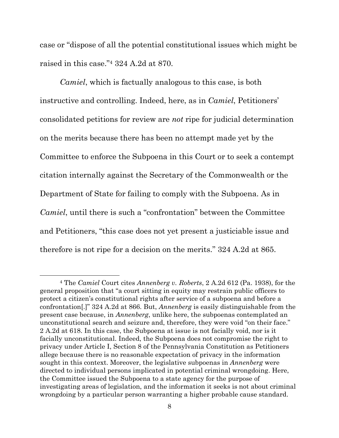case or "dispose of all the potential constitutional issues which might be raised in this case."<sup>4</sup> 324 A.2d at 870.

*Camiel*, which is factually analogous to this case, is both instructive and controlling. Indeed, here, as in *Camiel*, Petitioners' consolidated petitions for review are *not* ripe for judicial determination on the merits because there has been no attempt made yet by the Committee to enforce the Subpoena in this Court or to seek a contempt citation internally against the Secretary of the Commonwealth or the Department of State for failing to comply with the Subpoena. As in *Camiel*, until there is such a "confrontation" between the Committee and Petitioners, "this case does not yet present a justiciable issue and therefore is not ripe for a decision on the merits." 324 A.2d at 865.

 $\overline{a}$ 

<sup>4</sup> The *Camiel* Court cites *Annenberg v. Roberts*, 2 A.2d 612 (Pa. 1938), for the general proposition that "a court sitting in equity may restrain public officers to protect a citizen's constitutional rights after service of a subpoena and before a confrontation[.]" 324 A.2d at 866. But, *Annenberg* is easily distinguishable from the present case because, in *Annenberg*, unlike here, the subpoenas contemplated an unconstitutional search and seizure and, therefore, they were void "on their face." 2 A.2d at 618. In this case, the Subpoena at issue is not facially void, nor is it facially unconstitutional. Indeed, the Subpoena does not compromise the right to privacy under Article I, Section 8 of the Pennsylvania Constitution as Petitioners allege because there is no reasonable expectation of privacy in the information sought in this context. Moreover, the legislative subpoenas in *Annenberg* were directed to individual persons implicated in potential criminal wrongdoing. Here, the Committee issued the Subpoena to a state agency for the purpose of investigating areas of legislation, and the information it seeks is not about criminal wrongdoing by a particular person warranting a higher probable cause standard.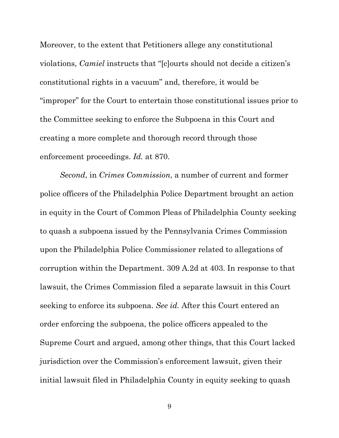Moreover, to the extent that Petitioners allege any constitutional violations, *Camiel* instructs that "[c]ourts should not decide a citizen's constitutional rights in a vacuum" and, therefore, it would be "improper" for the Court to entertain those constitutional issues prior to the Committee seeking to enforce the Subpoena in this Court and creating a more complete and thorough record through those enforcement proceedings. *Id.* at 870.

*Second*, in *Crimes Commission*, a number of current and former police officers of the Philadelphia Police Department brought an action in equity in the Court of Common Pleas of Philadelphia County seeking to quash a subpoena issued by the Pennsylvania Crimes Commission upon the Philadelphia Police Commissioner related to allegations of corruption within the Department. 309 A.2d at 403. In response to that lawsuit, the Crimes Commission filed a separate lawsuit in this Court seeking to enforce its subpoena. *See id.* After this Court entered an order enforcing the subpoena, the police officers appealed to the Supreme Court and argued, among other things, that this Court lacked jurisdiction over the Commission's enforcement lawsuit, given their initial lawsuit filed in Philadelphia County in equity seeking to quash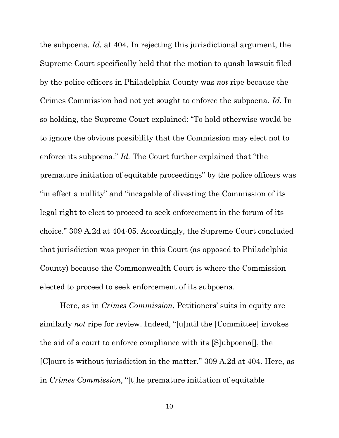the subpoena. *Id.* at 404. In rejecting this jurisdictional argument, the Supreme Court specifically held that the motion to quash lawsuit filed by the police officers in Philadelphia County was *not* ripe because the Crimes Commission had not yet sought to enforce the subpoena. *Id.* In so holding, the Supreme Court explained: "To hold otherwise would be to ignore the obvious possibility that the Commission may elect not to enforce its subpoena." *Id.* The Court further explained that "the premature initiation of equitable proceedings" by the police officers was "in effect a nullity" and "incapable of divesting the Commission of its legal right to elect to proceed to seek enforcement in the forum of its choice." 309 A.2d at 404-05. Accordingly, the Supreme Court concluded that jurisdiction was proper in this Court (as opposed to Philadelphia County) because the Commonwealth Court is where the Commission elected to proceed to seek enforcement of its subpoena.

Here, as in *Crimes Commission*, Petitioners' suits in equity are similarly *not* ripe for review. Indeed, "[u]ntil the [Committee] invokes the aid of a court to enforce compliance with its [S]ubpoena[], the [C]ourt is without jurisdiction in the matter." 309 A.2d at 404. Here, as in *Crimes Commission*, "[t]he premature initiation of equitable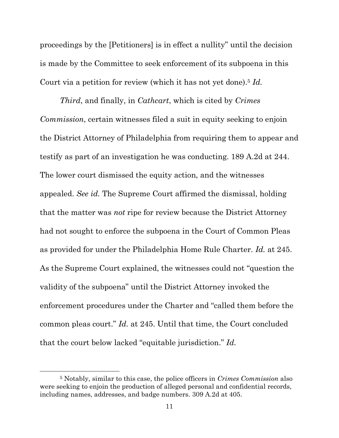proceedings by the [Petitioners] is in effect a nullity" until the decision is made by the Committee to seek enforcement of its subpoena in this Court via a petition for review (which it has not yet done).<sup>5</sup> *Id.*

*Third*, and finally, in *Cathcart*, which is cited by *Crimes Commission*, certain witnesses filed a suit in equity seeking to enjoin the District Attorney of Philadelphia from requiring them to appear and testify as part of an investigation he was conducting. 189 A.2d at 244. The lower court dismissed the equity action, and the witnesses appealed. *See id.* The Supreme Court affirmed the dismissal, holding that the matter was *not* ripe for review because the District Attorney had not sought to enforce the subpoena in the Court of Common Pleas as provided for under the Philadelphia Home Rule Charter. *Id.* at 245. As the Supreme Court explained, the witnesses could not "question the validity of the subpoena" until the District Attorney invoked the enforcement procedures under the Charter and "called them before the common pleas court." *Id.* at 245. Until that time, the Court concluded that the court below lacked "equitable jurisdiction." *Id.*

<sup>5</sup> Notably, similar to this case, the police officers in *Crimes Commission* also were seeking to enjoin the production of alleged personal and confidential records, including names, addresses, and badge numbers. 309 A.2d at 405.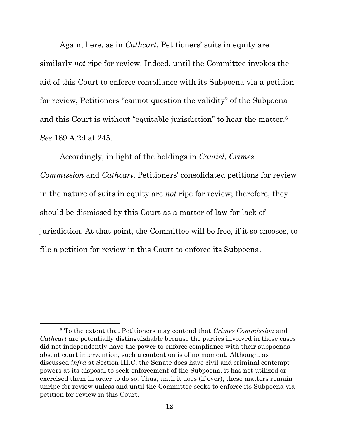Again, here, as in *Cathcart*, Petitioners' suits in equity are similarly *not* ripe for review. Indeed, until the Committee invokes the aid of this Court to enforce compliance with its Subpoena via a petition for review, Petitioners "cannot question the validity" of the Subpoena and this Court is without "equitable jurisdiction" to hear the matter.<sup>6</sup> *See* 189 A.2d at 245.

Accordingly, in light of the holdings in *Camiel*, *Crimes Commission* and *Cathcart*, Petitioners' consolidated petitions for review in the nature of suits in equity are *not* ripe for review; therefore, they should be dismissed by this Court as a matter of law for lack of jurisdiction. At that point, the Committee will be free, if it so chooses, to file a petition for review in this Court to enforce its Subpoena.

 $\overline{a}$ 

<sup>6</sup> To the extent that Petitioners may contend that *Crimes Commission* and *Cathcart* are potentially distinguishable because the parties involved in those cases did not independently have the power to enforce compliance with their subpoenas absent court intervention, such a contention is of no moment. Although, as discussed *infra* at Section III.C, the Senate does have civil and criminal contempt powers at its disposal to seek enforcement of the Subpoena, it has not utilized or exercised them in order to do so. Thus, until it does (if ever), these matters remain unripe for review unless and until the Committee seeks to enforce its Subpoena via petition for review in this Court.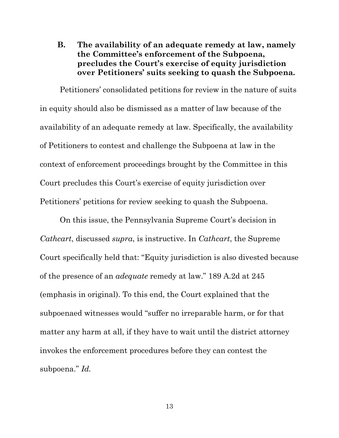<span id="page-15-0"></span>**B. The availability of an adequate remedy at law, namely the Committee's enforcement of the Subpoena, precludes the Court's exercise of equity jurisdiction over Petitioners' suits seeking to quash the Subpoena.**

Petitioners' consolidated petitions for review in the nature of suits in equity should also be dismissed as a matter of law because of the availability of an adequate remedy at law. Specifically, the availability of Petitioners to contest and challenge the Subpoena at law in the context of enforcement proceedings brought by the Committee in this Court precludes this Court's exercise of equity jurisdiction over Petitioners' petitions for review seeking to quash the Subpoena.

On this issue, the Pennsylvania Supreme Court's decision in *Cathcart*, discussed *supra*, is instructive. In *Cathcart*, the Supreme Court specifically held that: "Equity jurisdiction is also divested because of the presence of an *adequate* remedy at law." 189 A.2d at 245 (emphasis in original). To this end, the Court explained that the subpoenaed witnesses would "suffer no irreparable harm, or for that matter any harm at all, if they have to wait until the district attorney invokes the enforcement procedures before they can contest the subpoena." *Id.*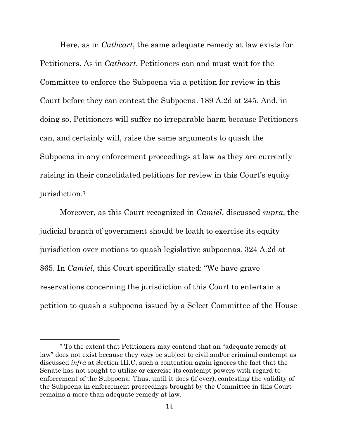Here, as in *Cathcart*, the same adequate remedy at law exists for Petitioners. As in *Cathcart*, Petitioners can and must wait for the Committee to enforce the Subpoena via a petition for review in this Court before they can contest the Subpoena. 189 A.2d at 245. And, in doing so, Petitioners will suffer no irreparable harm because Petitioners can, and certainly will, raise the same arguments to quash the Subpoena in any enforcement proceedings at law as they are currently raising in their consolidated petitions for review in this Court's equity jurisdiction.<sup>7</sup>

Moreover, as this Court recognized in *Camiel*, discussed *supra*, the judicial branch of government should be loath to exercise its equity jurisdiction over motions to quash legislative subpoenas. 324 A.2d at 865. In *Camiel*, this Court specifically stated: "We have grave reservations concerning the jurisdiction of this Court to entertain a petition to quash a subpoena issued by a Select Committee of the House

 $\overline{a}$ 

<sup>7</sup> To the extent that Petitioners may contend that an "adequate remedy at law" does not exist because they *may* be subject to civil and/or criminal contempt as discussed *infra* at Section III.C, such a contention again ignores the fact that the Senate has not sought to utilize or exercise its contempt powers with regard to enforcement of the Subpoena. Thus, until it does (if ever), contesting the validity of the Subpoena in enforcement proceedings brought by the Committee in this Court remains a more than adequate remedy at law.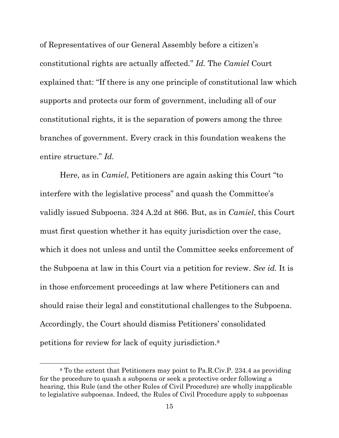of Representatives of our General Assembly before a citizen's constitutional rights are actually affected." *Id.* The *Camiel* Court explained that: "If there is any one principle of constitutional law which supports and protects our form of government, including all of our constitutional rights, it is the separation of powers among the three branches of government. Every crack in this foundation weakens the entire structure." *Id.*

Here, as in *Camiel*, Petitioners are again asking this Court "to interfere with the legislative process" and quash the Committee's validly issued Subpoena. 324 A.2d at 866. But, as in *Camiel*, this Court must first question whether it has equity jurisdiction over the case, which it does not unless and until the Committee seeks enforcement of the Subpoena at law in this Court via a petition for review. *See id.* It is in those enforcement proceedings at law where Petitioners can and should raise their legal and constitutional challenges to the Subpoena. Accordingly, the Court should dismiss Petitioners' consolidated petitions for review for lack of equity jurisdiction.<sup>8</sup>

<sup>8</sup> To the extent that Petitioners may point to Pa.R.Civ.P. 234.4 as providing for the procedure to quash a subpoena or seek a protective order following a hearing, this Rule (and the other Rules of Civil Procedure) are wholly inapplicable to legislative subpoenas. Indeed, the Rules of Civil Procedure apply to subpoenas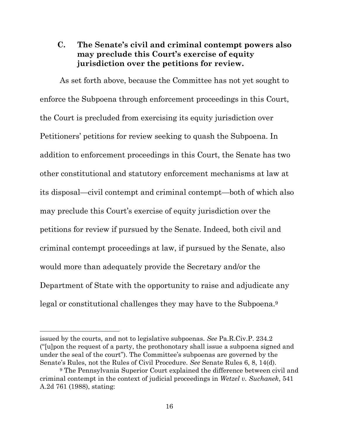### <span id="page-18-0"></span>**C. The Senate's civil and criminal contempt powers also may preclude this Court's exercise of equity jurisdiction over the petitions for review.**

As set forth above, because the Committee has not yet sought to enforce the Subpoena through enforcement proceedings in this Court, the Court is precluded from exercising its equity jurisdiction over Petitioners' petitions for review seeking to quash the Subpoena. In addition to enforcement proceedings in this Court, the Senate has two other constitutional and statutory enforcement mechanisms at law at its disposal—civil contempt and criminal contempt—both of which also may preclude this Court's exercise of equity jurisdiction over the petitions for review if pursued by the Senate. Indeed, both civil and criminal contempt proceedings at law, if pursued by the Senate, also would more than adequately provide the Secretary and/or the Department of State with the opportunity to raise and adjudicate any legal or constitutional challenges they may have to the Subpoena.<sup>9</sup>

issued by the courts, and not to legislative subpoenas. *See* Pa.R.Civ.P. 234.2 ("[u]pon the request of a party, the prothonotary shall issue a subpoena signed and under the seal of the court"). The Committee's subpoenas are governed by the Senate's Rules, not the Rules of Civil Procedure. *See* Senate Rules 6, 8, 14(d).

<sup>9</sup> The Pennsylvania Superior Court explained the difference between civil and criminal contempt in the context of judicial proceedings in *Wetzel v. Suchanek*, 541 A.2d 761 (1988), stating: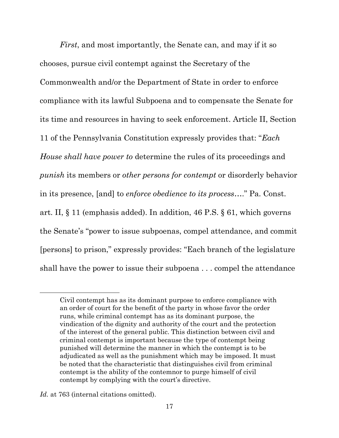*First*, and most importantly, the Senate can, and may if it so chooses, pursue civil contempt against the Secretary of the Commonwealth and/or the Department of State in order to enforce compliance with its lawful Subpoena and to compensate the Senate for its time and resources in having to seek enforcement. Article II, Section 11 of the Pennsylvania Constitution expressly provides that: "*Each House shall have power to* determine the rules of its proceedings and *punish* its members or *other persons for contempt* or disorderly behavior in its presence, [and] to *enforce obedience to its process*…." Pa. Const. art. II, § 11 (emphasis added). In addition, 46 P.S. § 61, which governs the Senate's "power to issue subpoenas, compel attendance, and commit [persons] to prison," expressly provides: "Each branch of the legislature shall have the power to issue their subpoena . . . compel the attendance

Civil contempt has as its dominant purpose to enforce compliance with an order of court for the benefit of the party in whose favor the order runs, while criminal contempt has as its dominant purpose, the vindication of the dignity and authority of the court and the protection of the interest of the general public. This distinction between civil and criminal contempt is important because the type of contempt being punished will determine the manner in which the contempt is to be adjudicated as well as the punishment which may be imposed. It must be noted that the characteristic that distinguishes civil from criminal contempt is the ability of the contemnor to purge himself of civil contempt by complying with the court's directive.

*Id.* at 763 (internal citations omitted).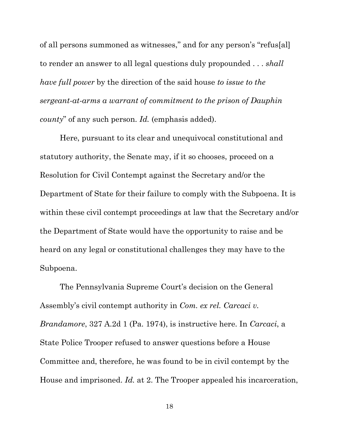of all persons summoned as witnesses," and for any person's "refus[al] to render an answer to all legal questions duly propounded . . . *shall have full power* by the direction of the said house *to issue to the sergeant-at-arms a warrant of commitment to the prison of Dauphin county*" of any such person. *Id.* (emphasis added).

Here, pursuant to its clear and unequivocal constitutional and statutory authority, the Senate may, if it so chooses, proceed on a Resolution for Civil Contempt against the Secretary and/or the Department of State for their failure to comply with the Subpoena. It is within these civil contempt proceedings at law that the Secretary and/or the Department of State would have the opportunity to raise and be heard on any legal or constitutional challenges they may have to the Subpoena.

The Pennsylvania Supreme Court's decision on the General Assembly's civil contempt authority in *Com. ex rel. Carcaci v. Brandamore*, 327 A.2d 1 (Pa. 1974), is instructive here. In *Carcaci*, a State Police Trooper refused to answer questions before a House Committee and, therefore, he was found to be in civil contempt by the House and imprisoned. *Id.* at 2. The Trooper appealed his incarceration,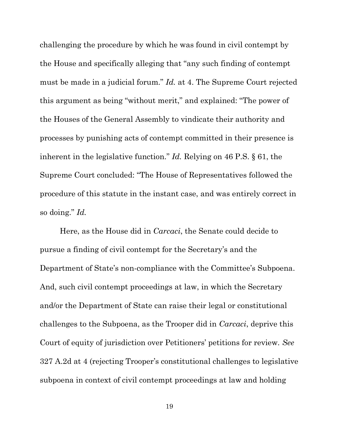challenging the procedure by which he was found in civil contempt by the House and specifically alleging that "any such finding of contempt must be made in a judicial forum." *Id.* at 4. The Supreme Court rejected this argument as being "without merit," and explained: "The power of the Houses of the General Assembly to vindicate their authority and processes by punishing acts of contempt committed in their presence is inherent in the legislative function." *Id.* Relying on 46 P.S. § 61, the Supreme Court concluded: "The House of Representatives followed the procedure of this statute in the instant case, and was entirely correct in so doing." *Id.*

Here, as the House did in *Carcaci*, the Senate could decide to pursue a finding of civil contempt for the Secretary's and the Department of State's non-compliance with the Committee's Subpoena. And, such civil contempt proceedings at law, in which the Secretary and/or the Department of State can raise their legal or constitutional challenges to the Subpoena, as the Trooper did in *Carcaci*, deprive this Court of equity of jurisdiction over Petitioners' petitions for review. *See*  327 A.2d at 4 (rejecting Trooper's constitutional challenges to legislative subpoena in context of civil contempt proceedings at law and holding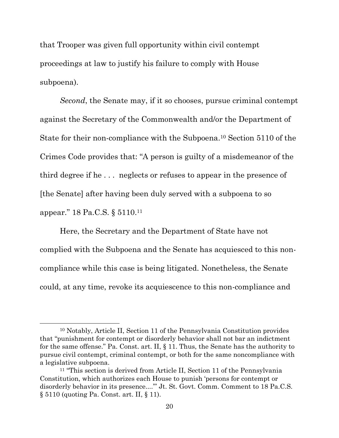that Trooper was given full opportunity within civil contempt proceedings at law to justify his failure to comply with House subpoena).

*Second*, the Senate may, if it so chooses, pursue criminal contempt against the Secretary of the Commonwealth and/or the Department of State for their non-compliance with the Subpoena.<sup>10</sup> Section 5110 of the Crimes Code provides that: "A person is guilty of a misdemeanor of the third degree if he . . . neglects or refuses to appear in the presence of [the Senate] after having been duly served with a subpoena to so appear." [18 Pa.C.S.](https://1.next.westlaw.com/Link/Document/FullText?findType=L&pubNum=1000262&cite=PA18S5110&originatingDoc=If74ebcd030fa11d98057925bad68b741&refType=LQ&originationContext=document&transitionType=DocumentItem&ppcid=367b94b1412641c0a1acc307d8af89c0&contextData=(sc.Keycite)) § 5110. 11

Here, the Secretary and the Department of State have not complied with the Subpoena and the Senate has acquiesced to this noncompliance while this case is being litigated. Nonetheless, the Senate could, at any time, revoke its acquiescence to this non-compliance and

 $\overline{a}$ 

<sup>10</sup> Notably, Article II, Section 11 of the Pennsylvania Constitution provides that "punishment for contempt or disorderly behavior shall not bar an indictment for the same offense." Pa. Const. art. II, § 11. Thus, the Senate has the authority to pursue civil contempt, criminal contempt, or both for the same noncompliance with a legislative subpoena.

<sup>11</sup> "This section is derived from [Article II, Section 11 of the Pennsylvania](https://1.next.westlaw.com/Link/Document/FullText?findType=L&pubNum=1000427&cite=PACNART2S11&originatingDoc=NDE7938F0342D11DA8A989F4EECDB8638&refType=LQ&originationContext=document&transitionType=DocumentItem&ppcid=94ffec314116452b8860b703f75a845d&contextData=(sc.DocLink))  [Constitution](https://1.next.westlaw.com/Link/Document/FullText?findType=L&pubNum=1000427&cite=PACNART2S11&originatingDoc=NDE7938F0342D11DA8A989F4EECDB8638&refType=LQ&originationContext=document&transitionType=DocumentItem&ppcid=94ffec314116452b8860b703f75a845d&contextData=(sc.DocLink)), which authorizes each House to punish 'persons for contempt or disorderly behavior in its presence...." Jt. St. Govt. Comm. Comment to 18 [Pa.C.S.](https://1.next.westlaw.com/Link/Document/FullText?findType=L&pubNum=1000262&cite=PA18S5110&originatingDoc=If74ebcd030fa11d98057925bad68b741&refType=LQ&originationContext=document&transitionType=DocumentItem&ppcid=367b94b1412641c0a1acc307d8af89c0&contextData=(sc.Keycite)) § [5110](https://1.next.westlaw.com/Link/Document/FullText?findType=L&pubNum=1000262&cite=PA18S5110&originatingDoc=If74ebcd030fa11d98057925bad68b741&refType=LQ&originationContext=document&transitionType=DocumentItem&ppcid=367b94b1412641c0a1acc307d8af89c0&contextData=(sc.Keycite)) (quoting Pa. Const. art. II, § 11).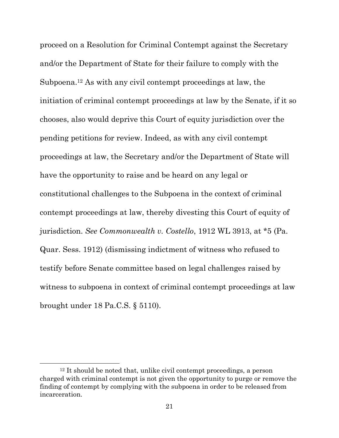proceed on a Resolution for Criminal Contempt against the Secretary and/or the Department of State for their failure to comply with the Subpoena.<sup>12</sup> As with any civil contempt proceedings at law, the initiation of criminal contempt proceedings at law by the Senate, if it so chooses, also would deprive this Court of equity jurisdiction over the pending petitions for review. Indeed, as with any civil contempt proceedings at law, the Secretary and/or the Department of State will have the opportunity to raise and be heard on any legal or constitutional challenges to the Subpoena in the context of criminal contempt proceedings at law, thereby divesting this Court of equity of jurisdiction. *See Commonwealth v. Costello*, 1912 WL 3913, at \*5 (Pa. Quar. Sess. 1912) (dismissing indictment of witness who refused to testify before Senate committee based on legal challenges raised by witness to subpoena in context of criminal contempt proceedings at law brought under [18 Pa.C.S.](https://1.next.westlaw.com/Link/Document/FullText?findType=L&pubNum=1000262&cite=PA18S5110&originatingDoc=If74ebcd030fa11d98057925bad68b741&refType=LQ&originationContext=document&transitionType=DocumentItem&ppcid=367b94b1412641c0a1acc307d8af89c0&contextData=(sc.Keycite)) § 5110).

<sup>12</sup> It should be noted that, unlike civil contempt proceedings, a person charged with criminal contempt is not given the opportunity to purge or remove the finding of contempt by complying with the subpoena in order to be released from incarceration.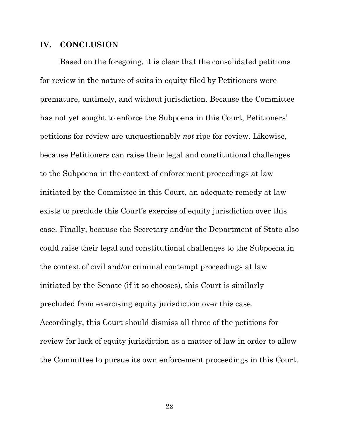#### <span id="page-24-0"></span>**IV. CONCLUSION**

Based on the foregoing, it is clear that the consolidated petitions for review in the nature of suits in equity filed by Petitioners were premature, untimely, and without jurisdiction. Because the Committee has not yet sought to enforce the Subpoena in this Court, Petitioners' petitions for review are unquestionably *not* ripe for review. Likewise, because Petitioners can raise their legal and constitutional challenges to the Subpoena in the context of enforcement proceedings at law initiated by the Committee in this Court, an adequate remedy at law exists to preclude this Court's exercise of equity jurisdiction over this case. Finally, because the Secretary and/or the Department of State also could raise their legal and constitutional challenges to the Subpoena in the context of civil and/or criminal contempt proceedings at law initiated by the Senate (if it so chooses), this Court is similarly precluded from exercising equity jurisdiction over this case. Accordingly, this Court should dismiss all three of the petitions for review for lack of equity jurisdiction as a matter of law in order to allow the Committee to pursue its own enforcement proceedings in this Court.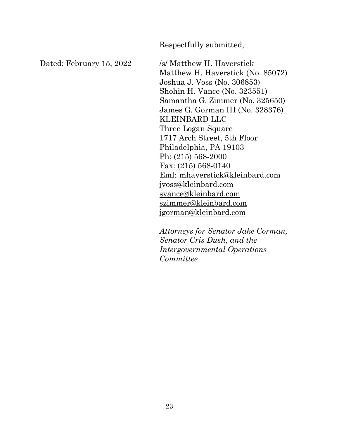Respectfully submitted,

Dated: February 15, 2022 /s/ Matthew H. Haverstick Matthew H. Haverstick (No. 85072) Joshua J. Voss (No. 306853) Shohin H. Vance (No. 323551) Samantha G. Zimmer (No. 325650) James G. Gorman III (No. 328376) KLEINBARD LLC Three Logan Square 1717 Arch Street, 5th Floor Philadelphia, PA 19103 Ph: (215) 568-2000 Fax: (215) 568-0140 Eml: [mhaverstick@kleinbard.com](mailto:mhaverstick@kleinbard.com) jvoss@kleinbard.com [svance@kleinbard.com](mailto:svance@kleinbard.com) [szimmer@kleinbard.com](mailto:szimmer@kleinbard.com) jgorman@kleinbard.com

> *Attorneys for Senator Jake Corman, Senator Cris Dush, and the Intergovernmental Operations Committee*